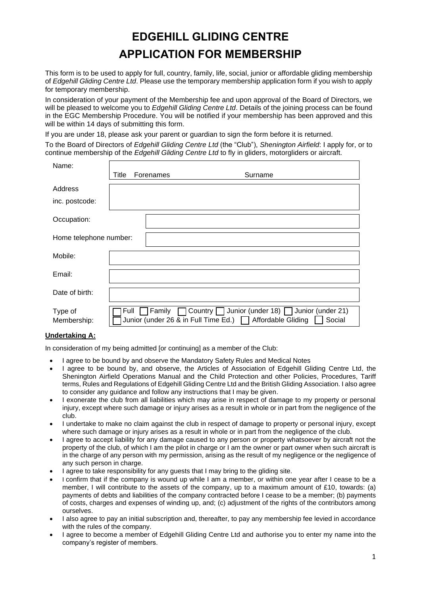# **EDGEHILL GLIDING CENTRE APPLICATION FOR MEMBERSHIP**

This form is to be used to apply for full, country, family, life, social, junior or affordable gliding membership of *Edgehill Gliding Centre Ltd*. Please use the temporary membership application form if you wish to apply for temporary membership.

In consideration of your payment of the Membership fee and upon approval of the Board of Directors, we will be pleased to welcome you to *Edgehill Gliding Centre Ltd*. Details of the joining process can be found in the EGC Membership Procedure. You will be notified if your membership has been approved and this will be within 14 days of submitting this form.

If you are under 18, please ask your parent or guardian to sign the form before it is returned.

To the Board of Directors of *Edgehill Gliding Centre Ltd* (the "Club"), *Shenington Airfield*: I apply for, or to continue membership of the *Edgehill Gliding Centre Ltd* to fly in gliders, motorgliders or aircraft.

| Name:                  |       |                                                           |                                                                                   |
|------------------------|-------|-----------------------------------------------------------|-----------------------------------------------------------------------------------|
|                        | Title | Forenames                                                 | Surname                                                                           |
| Address                |       |                                                           |                                                                                   |
| inc. postcode:         |       |                                                           |                                                                                   |
| Occupation:            |       |                                                           |                                                                                   |
| Home telephone number: |       |                                                           |                                                                                   |
| Mobile:                |       |                                                           |                                                                                   |
| Email:                 |       |                                                           |                                                                                   |
| Date of birth:         |       |                                                           |                                                                                   |
| Type of<br>Membership: | Full  | Junior (under 26 & in Full Time Ed.)   Affordable Gliding | Family $\Box$ Country $\Box$ Junior (under 18) $\Box$ Junior (under 21)<br>Social |

# **Undertaking A:**

In consideration of my being admitted for continuing as a member of the Club:

- I agree to be bound by and observe the Mandatory Safety Rules and Medical Notes
- I agree to be bound by, and observe, the Articles of Association of Edgehill Gliding Centre Ltd, the Shenington Airfield Operations Manual and the Child Protection and other Policies, Procedures, Tariff terms, Rules and Regulations of Edgehill Gliding Centre Ltd and the British Gliding Association. I also agree to consider any guidance and follow any instructions that I may be given.
- I exonerate the club from all liabilities which may arise in respect of damage to my property or personal injury, except where such damage or injury arises as a result in whole or in part from the negligence of the club.
- I undertake to make no claim against the club in respect of damage to property or personal injury, except where such damage or injury arises as a result in whole or in part from the negligence of the club.
- I agree to accept liability for any damage caused to any person or property whatsoever by aircraft not the property of the club, of which I am the pilot in charge or I am the owner or part owner when such aircraft is in the charge of any person with my permission, arising as the result of my negligence or the negligence of any such person in charge.
- I agree to take responsibility for any quests that I may bring to the gliding site.
- I confirm that if the company is wound up while I am a member, or within one year after I cease to be a member, I will contribute to the assets of the company, up to a maximum amount of £10, towards: (a) payments of debts and liabilities of the company contracted before I cease to be a member; (b) payments of costs, charges and expenses of winding up, and; (c) adjustment of the rights of the contributors among ourselves.
- I also agree to pay an initial subscription and, thereafter, to pay any membership fee levied in accordance with the rules of the company.
- I agree to become a member of Edgehill Gliding Centre Ltd and authorise you to enter my name into the company's register of members.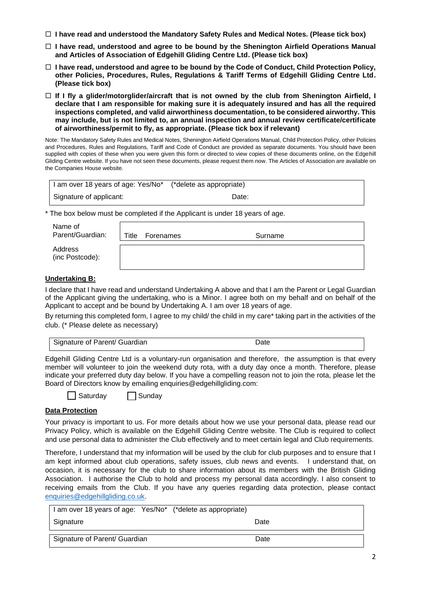- **I have read and understood the Mandatory Safety Rules and Medical Notes. (Please tick box)**
- **I have read, understood and agree to be bound by the Shenington Airfield Operations Manual and Articles of Association of Edgehill Gliding Centre Ltd. (Please tick box)**
- **I have read, understood and agree to be bound by the Code of Conduct, Child Protection Policy, other Policies, Procedures, Rules, Regulations & Tariff Terms of Edgehill Gliding Centre Ltd. (Please tick box)**
- **If I fly a glider/motorglider/aircraft that is not owned by the club from Shenington Airfield, I declare that I am responsible for making sure it is adequately insured and has all the required inspections completed, and valid airworthiness documentation, to be considered airworthy. This may include, but is not limited to, an annual inspection and annual review certificate/certificate of airworthiness/permit to fly, as appropriate. (Please tick box if relevant)**

Note: The Mandatory Safety Rules and Medical Notes, Shenington Airfield Operations Manual, Child Protection Policy, other Policies and Procedures, Rules and Regulations, Tariff and Code of Conduct are provided as separate documents. You should have been supplied with copies of these when you were given this form or directed to view copies of these documents online, on the Edgehill Gliding Centre website. If you have not seen these documents, please request them now. The Articles of Association are available on the Companies House website.

| I am over 18 years of age: Yes/No* (*delete as appropriate) |       |  |
|-------------------------------------------------------------|-------|--|
| Signature of applicant:                                     | Date: |  |

\* The box below must be completed if the Applicant is under 18 years of age.

| Name of<br>Parent/Guardian: | Title | Forenames | Surname |
|-----------------------------|-------|-----------|---------|
| Address<br>(inc Postcode):  |       |           |         |

## **Undertaking B:**

I declare that I have read and understand Undertaking A above and that I am the Parent or Legal Guardian of the Applicant giving the undertaking, who is a Minor. I agree both on my behalf and on behalf of the Applicant to accept and be bound by Undertaking A. I am over 18 years of age.

By returning this completed form, I agree to my child/ the child in my care\* taking part in the activities of the club. (\* Please delete as necessary)

| Signature of Parent/ Guardian | ⊃ate |
|-------------------------------|------|

Edgehill Gliding Centre Ltd is a voluntary-run organisation and therefore, the assumption is that every member will volunteer to join the weekend duty rota, with a duty day once a month. Therefore, please indicate your preferred duty day below. If you have a compelling reason not to join the rota, please let the Board of Directors know by emailing enquiries@edgehillgliding.com:

 $\Box$  Saturday  $\Box$  Sunday

## **Data Protection**

Your privacy is important to us. For more details about how we use your personal data, please read our Privacy Policy, which is available on the Edgehill Gliding Centre website. The Club is required to collect and use personal data to administer the Club effectively and to meet certain legal and Club requirements.

Therefore, I understand that my information will be used by the club for club purposes and to ensure that I am kept informed about club operations, safety issues, club news and events. I understand that, on occasion, it is necessary for the club to share information about its members with the British Gliding Association. I authorise the Club to hold and process my personal data accordingly. I also consent to receiving emails from the Club. If you have any queries regarding data protection, please contact [enquiries@edgehillgliding.co.uk.](mailto:enquiries@edgehillgliding.co.uk)

| I am over 18 years of age: Yes/No* (*delete as appropriate) |      |
|-------------------------------------------------------------|------|
| Signature                                                   | Date |
| Signature of Parent/ Guardian                               | Date |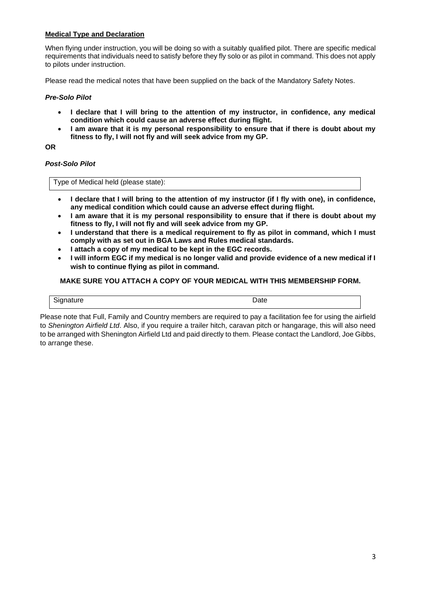## **Medical Type and Declaration**

When flying under instruction, you will be doing so with a suitably qualified pilot. There are specific medical requirements that individuals need to satisfy before they fly solo or as pilot in command. This does not apply to pilots under instruction.

Please read the medical notes that have been supplied on the back of the Mandatory Safety Notes.

#### *Pre-Solo Pilot*

- **I declare that I will bring to the attention of my instructor, in confidence, any medical condition which could cause an adverse effect during flight.**
- **I am aware that it is my personal responsibility to ensure that if there is doubt about my fitness to fly, I will not fly and will seek advice from my GP.**

**OR**

#### *Post-Solo Pilot*

Type of Medical held (please state):

- **I declare that I will bring to the attention of my instructor (if I fly with one), in confidence, any medical condition which could cause an adverse effect during flight.**
- **I am aware that it is my personal responsibility to ensure that if there is doubt about my fitness to fly, I will not fly and will seek advice from my GP.**
- **I understand that there is a medical requirement to fly as pilot in command, which I must comply with as set out in BGA Laws and Rules medical standards.**
- **I attach a copy of my medical to be kept in the EGC records.**
- **I will inform EGC if my medical is no longer valid and provide evidence of a new medical if I wish to continue flying as pilot in command.**

# **MAKE SURE YOU ATTACH A COPY OF YOUR MEDICAL WITH THIS MEMBERSHIP FORM.**

| Signature<br>ישי | Jate |
|------------------|------|

Please note that Full, Family and Country members are required to pay a facilitation fee for using the airfield to *Shenington Airfield Ltd*. Also, if you require a trailer hitch, caravan pitch or hangarage, this will also need to be arranged with Shenington Airfield Ltd and paid directly to them. Please contact the Landlord, Joe Gibbs, to arrange these.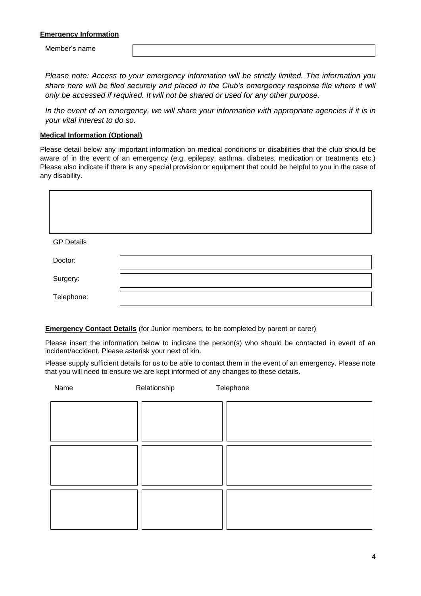### **Emergency Information**

Member's name

*Please note: Access to your emergency information will be strictly limited. The information you*  share here will be filed securely and placed in the Club's emergency response file where it will *only be accessed if required. It will not be shared or used for any other purpose.* 

In the event of an emergency, we will share your information with appropriate agencies if it is in *your vital interest to do so.*

#### **Medical Information (Optional)**

Please detail below any important information on medical conditions or disabilities that the club should be aware of in the event of an emergency (e.g. epilepsy, asthma, diabetes, medication or treatments etc.) Please also indicate if there is any special provision or equipment that could be helpful to you in the case of any disability.

| <b>GP Details</b> |  |
|-------------------|--|
| Doctor:           |  |
| Surgery:          |  |
| Telephone:        |  |

**Emergency Contact Details** (for Junior members, to be completed by parent or carer)

Please insert the information below to indicate the person(s) who should be contacted in event of an incident/accident. Please asterisk your next of kin.

Please supply sufficient details for us to be able to contact them in the event of an emergency. Please note that you will need to ensure we are kept informed of any changes to these details.

| Name | Relationship | Telephone |  |
|------|--------------|-----------|--|
|      |              |           |  |
|      |              |           |  |
|      |              |           |  |
|      |              |           |  |
|      |              |           |  |